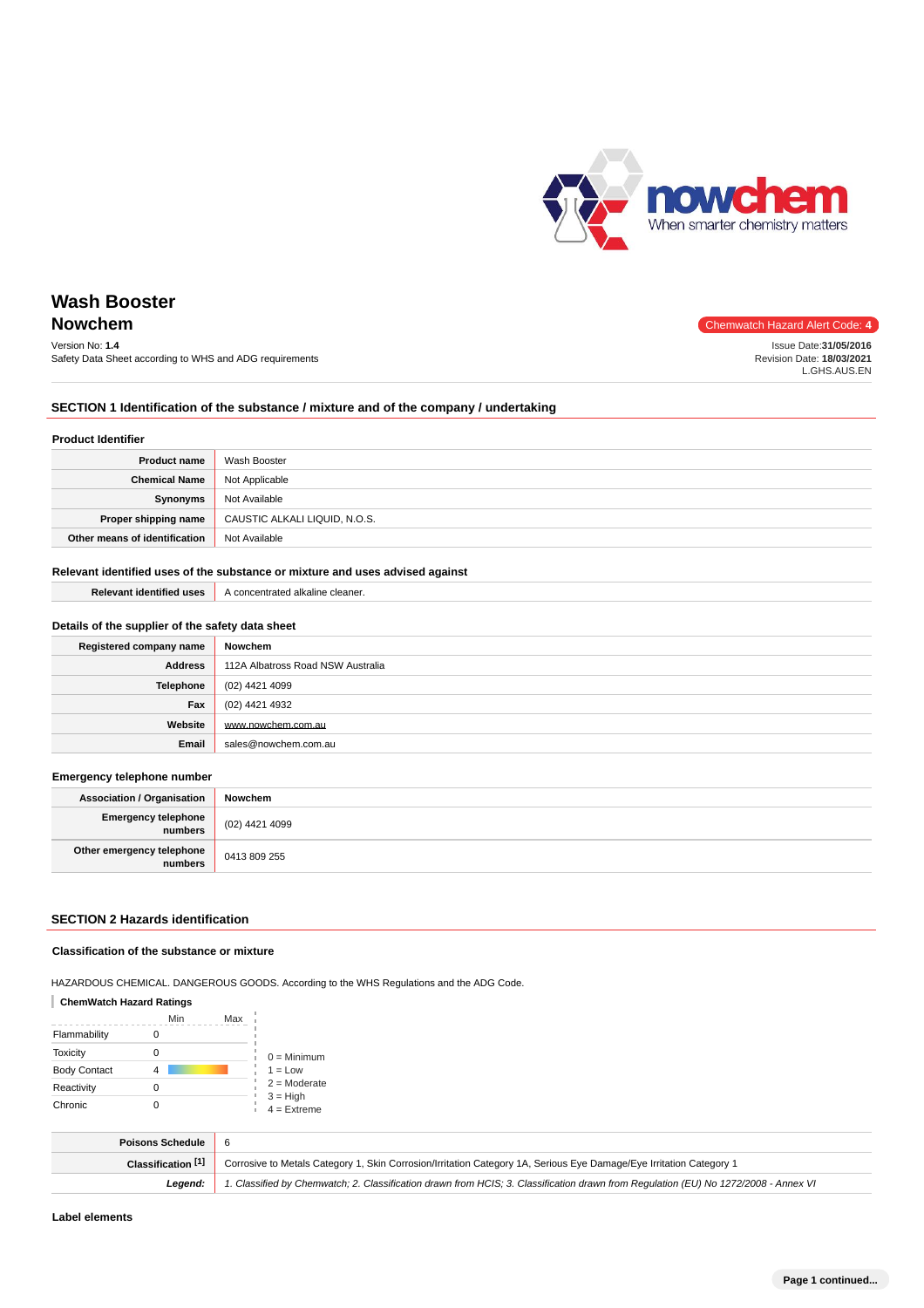

## **Nowchem** Chemwatch Hazard Alert Code: 4

Version No: **1.4** Safety Data Sheet according to WHS and ADG requirements Issue Date:**31/05/2016** Revision Date: **18/03/2021** L.GHS.AUS.EN

## **SECTION 1 Identification of the substance / mixture and of the company / undertaking**

#### **Product Identifier**

| <b>Product name</b>           | Wash Booster                  |
|-------------------------------|-------------------------------|
| <b>Chemical Name</b>          | Not Applicable                |
| Synonyms                      | Not Available                 |
| Proper shipping name          | CAUSTIC ALKALI LIQUID, N.O.S. |
| Other means of identification | Not Available                 |

## **Relevant identified uses of the substance or mixture and uses advised against**

**Relevant identified uses** A concentrated alkaline cleaner.

| Details of the supplier of the safety data sheet |                                   |  |
|--------------------------------------------------|-----------------------------------|--|
| Registered company name                          | Nowchem                           |  |
| <b>Address</b>                                   | 112A Albatross Road NSW Australia |  |
| Telephone                                        | (02) 4421 4099                    |  |
| Fax                                              | (02) 4421 4932                    |  |
| Website                                          | www.nowchem.com.au                |  |
| Email                                            | sales@nowchem.com.au              |  |

#### **Emergency telephone number**

| <b>Association / Organisation</b>    | Nowchem        |
|--------------------------------------|----------------|
| Emergency telephone<br>numbers       | (02) 4421 4099 |
| Other emergency telephone<br>numbers | 0413 809 255   |

## **SECTION 2 Hazards identification**

#### **Classification of the substance or mixture**

HAZARDOUS CHEMICAL. DANGEROUS GOODS. According to the WHS Regulations and the ADG Code.

#### **ChemWatch Hazard Ratings**

|                     | Min | Max |                             |
|---------------------|-----|-----|-----------------------------|
| Flammability        |     |     |                             |
| <b>Toxicity</b>     |     |     | $0 =$ Minimum               |
| <b>Body Contact</b> |     |     | $1 = Low$                   |
| Reactivity          | 0   |     | $2 =$ Moderate              |
| Chronic             |     |     | $3 = High$<br>$4 =$ Extreme |

| Poisons Schedule 6 |                                                                                                                                     |
|--------------------|-------------------------------------------------------------------------------------------------------------------------------------|
| Classification [1] | Corrosive to Metals Category 1, Skin Corrosion/Irritation Category 1A, Serious Eye Damage/Eye Irritation Category 1                 |
| Leaend:            | 1. Classified by Chemwatch; 2. Classification drawn from HCIS; 3. Classification drawn from Requlation (EU) No 1272/2008 - Annex VI |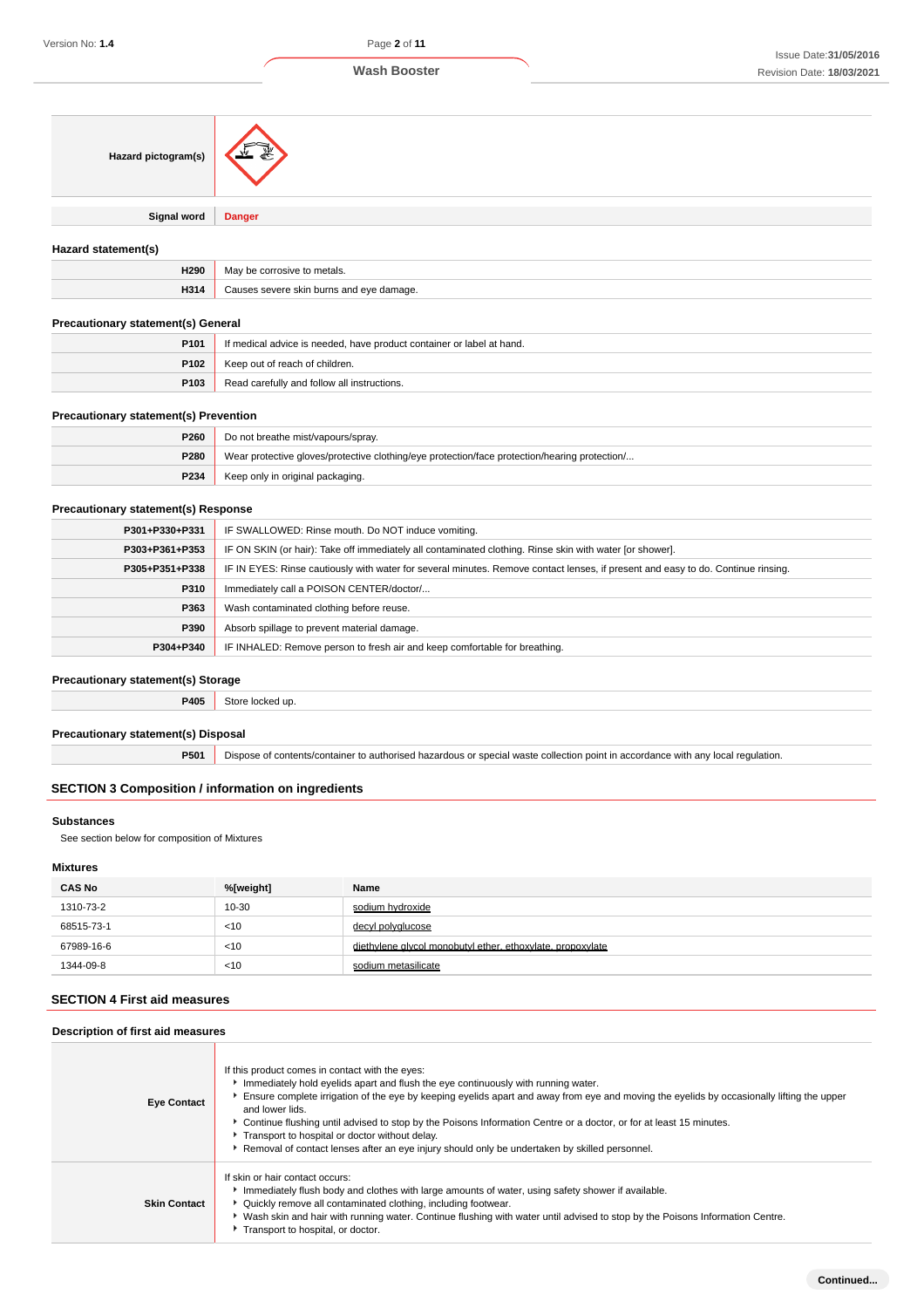| Hazard pictogram(s) | æ∼            |
|---------------------|---------------|
| <b>Signal word</b>  | <b>Danger</b> |

## **Hazard statement(s)**

| H290                 | metals<br>Мә<br>$\sim$                 |
|----------------------|----------------------------------------|
| <b>LI24</b><br>na 14 | skin.<br>hurns and<br>הווה'<br>damage. |

#### **Precautionary statement(s) General**

| P <sub>101</sub> | If medical advice is needed, have product container or label at hand. |
|------------------|-----------------------------------------------------------------------|
| P <sub>102</sub> | Keep out of reach of children.                                        |
| P103             | Read carefully and follow all instructions.                           |

## **Precautionary statement(s) Prevention**

| P260 | Do not breathe mist/vapours/spray.                                                            |  |
|------|-----------------------------------------------------------------------------------------------|--|
| P280 | Wear protective gloves/protective clothing/eye protection/face protection/hearing protection/ |  |
| P234 | Keep only in original packaging.                                                              |  |

#### **Precautionary statement(s) Response**

| P301+P330+P331 | IF SWALLOWED: Rinse mouth. Do NOT induce vomiting.                                                                               |
|----------------|----------------------------------------------------------------------------------------------------------------------------------|
| P303+P361+P353 | IF ON SKIN (or hair): Take off immediately all contaminated clothing. Rinse skin with water [or shower].                         |
| P305+P351+P338 | IF IN EYES: Rinse cautiously with water for several minutes. Remove contact lenses, if present and easy to do. Continue rinsing. |
| P310           | Immediately call a POISON CENTER/doctor/                                                                                         |
| P363           | Wash contaminated clothing before reuse.                                                                                         |
| P390           | Absorb spillage to prevent material damage.                                                                                      |
| P304+P340      | IF INHALED: Remove person to fresh air and keep comfortable for breathing.                                                       |

#### **Precautionary statement(s) Storage**

**P405** Store locked up.

## **Precautionary statement(s) Disposal**

**P501** Dispose of contents/container to authorised hazardous or special waste collection point in accordance with any local regulation.

## **SECTION 3 Composition / information on ingredients**

## **Substances**

See section below for composition of Mixtures

## **Mixtures**

| <b>CAS No</b> | %[weight] | Name                                                       |
|---------------|-----------|------------------------------------------------------------|
| 1310-73-2     | 10-30     | sodium hydroxide                                           |
| 68515-73-1    | < 10      | decyl polyglucose                                          |
| 67989-16-6    | $<$ 10    | diethylene glycol monobutyl ether, ethoxylate, propoxylate |
| 1344-09-8     | $<$ 10    | sodium metasilicate                                        |

## **SECTION 4 First aid measures**

**Description of first aid measures**

| Description of first aid measures |                                                                                                                                                                                                                                                                                                                                                                                                                                                                                                                                                                                 |  |
|-----------------------------------|---------------------------------------------------------------------------------------------------------------------------------------------------------------------------------------------------------------------------------------------------------------------------------------------------------------------------------------------------------------------------------------------------------------------------------------------------------------------------------------------------------------------------------------------------------------------------------|--|
| <b>Eye Contact</b>                | If this product comes in contact with the eyes:<br>Immediately hold eyelids apart and flush the eye continuously with running water.<br>Ensure complete irrigation of the eye by keeping eyelids apart and away from eye and moving the eyelids by occasionally lifting the upper<br>and lower lids.<br>► Continue flushing until advised to stop by the Poisons Information Centre or a doctor, or for at least 15 minutes.<br>Transport to hospital or doctor without delay.<br>Removal of contact lenses after an eye injury should only be undertaken by skilled personnel. |  |
| <b>Skin Contact</b>               | If skin or hair contact occurs:<br>Immediately flush body and clothes with large amounts of water, using safety shower if available.<br>• Quickly remove all contaminated clothing, including footwear.<br>• Wash skin and hair with running water. Continue flushing with water until advised to stop by the Poisons Information Centre.<br>Transport to hospital, or doctor.                                                                                                                                                                                                  |  |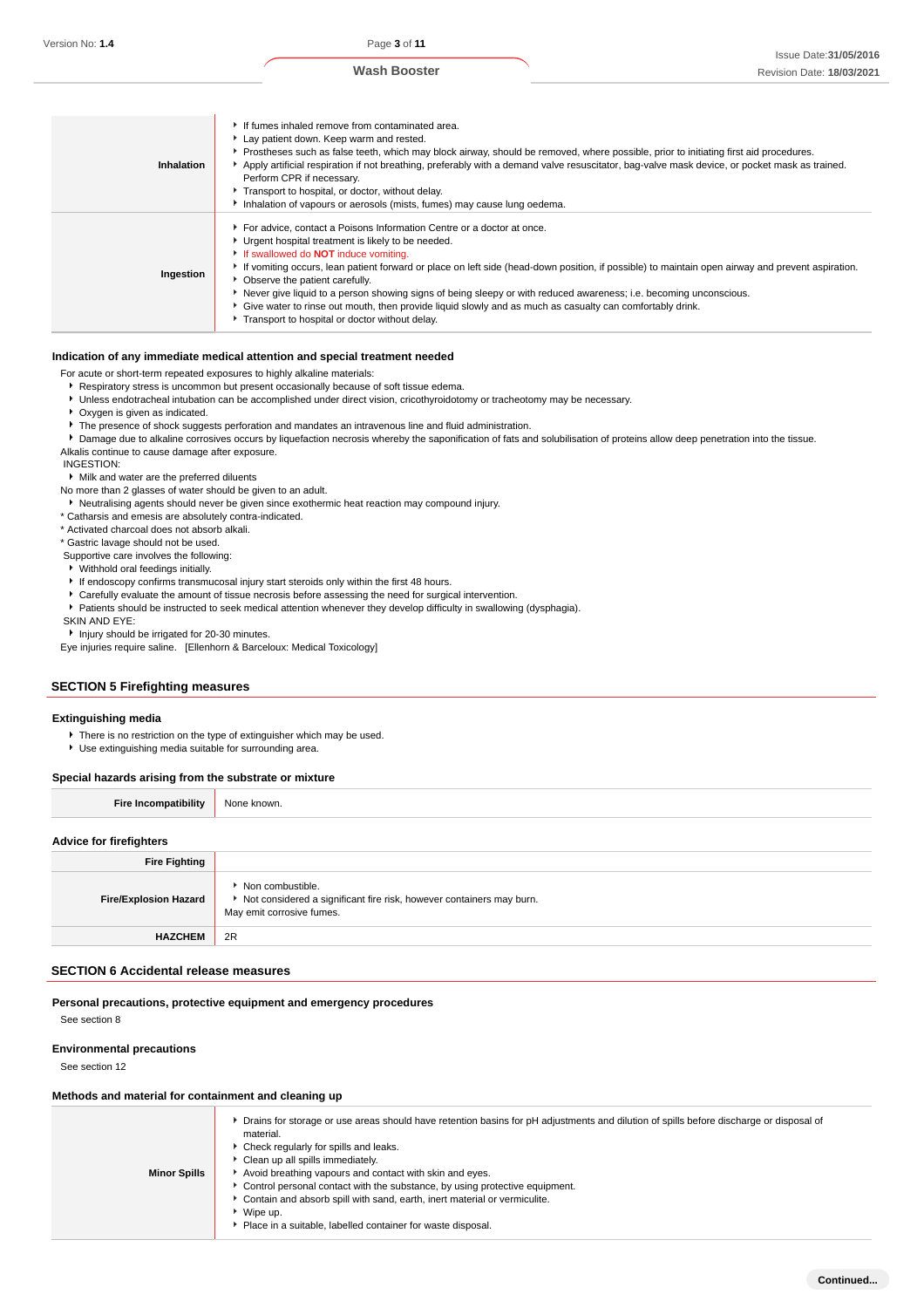| Inhalation | If fumes inhaled remove from contaminated area.<br>Lay patient down. Keep warm and rested.<br>▶ Prostheses such as false teeth, which may block airway, should be removed, where possible, prior to initiating first aid procedures.<br>Apply artificial respiration if not breathing, preferably with a demand valve resuscitator, bag-valve mask device, or pocket mask as trained.<br>Perform CPR if necessary.<br>Transport to hospital, or doctor, without delay.<br>Inhalation of vapours or aerosols (mists, fumes) may cause lung oedema.                                                                                                        |
|------------|----------------------------------------------------------------------------------------------------------------------------------------------------------------------------------------------------------------------------------------------------------------------------------------------------------------------------------------------------------------------------------------------------------------------------------------------------------------------------------------------------------------------------------------------------------------------------------------------------------------------------------------------------------|
| Ingestion  | For advice, contact a Poisons Information Centre or a doctor at once.<br>▶ Urgent hospital treatment is likely to be needed.<br>If swallowed do <b>NOT</b> induce vomiting.<br>If vomiting occurs, lean patient forward or place on left side (head-down position, if possible) to maintain open airway and prevent aspiration.<br>• Observe the patient carefully.<br>Never give liquid to a person showing signs of being sleepy or with reduced awareness; i.e. becoming unconscious.<br>• Give water to rinse out mouth, then provide liquid slowly and as much as casualty can comfortably drink.<br>Transport to hospital or doctor without delay. |

#### **Indication of any immediate medical attention and special treatment needed**

For acute or short-term repeated exposures to highly alkaline materials:

Respiratory stress is uncommon but present occasionally because of soft tissue edema.

- Unless endotracheal intubation can be accomplished under direct vision, cricothyroidotomy or tracheotomy may be necessary.
- Oxygen is given as indicated.
- $\blacktriangleright$  The presence of shock suggests perforation and mandates an intravenous line and fluid administration.
- Damage due to alkaline corrosives occurs by liquefaction necrosis whereby the saponification of fats and solubilisation of proteins allow deep penetration into the tissue.

Alkalis continue to cause damage after exposure.

INGESTION:

Milk and water are the preferred diluents

No more than 2 glasses of water should be given to an adult.

Neutralising agents should never be given since exothermic heat reaction may compound injury.

\* Catharsis and emesis are absolutely contra-indicated.

\* Activated charcoal does not absorb alkali.

\* Gastric lavage should not be used.

Supportive care involves the following:

Withhold oral feedings initially.

If endoscopy confirms transmucosal injury start steroids only within the first 48 hours.

- Carefully evaluate the amount of tissue necrosis before assessing the need for surgical intervention.
- Patients should be instructed to seek medical attention whenever they develop difficulty in swallowing (dysphagia).

SKIN AND EYE:

**Injury should be irrigated for 20-30 minutes.** 

Eye injuries require saline. [Ellenhorn & Barceloux: Medical Toxicology]

## **SECTION 5 Firefighting measures**

#### **Extinguishing media**

There is no restriction on the type of extinguisher which may be used.

Use extinguishing media suitable for surrounding area.

#### **Special hazards arising from the substrate or mixture**

|  | <b>Fire Incompatibility</b> | None known. |
|--|-----------------------------|-------------|
|--|-----------------------------|-------------|

## **Advice for firefighters**

| <b>Fire Fighting</b>         |                                                                                                                           |
|------------------------------|---------------------------------------------------------------------------------------------------------------------------|
| <b>Fire/Explosion Hazard</b> | ▶ Non combustible.<br>▶ Not considered a significant fire risk, however containers may burn.<br>May emit corrosive fumes. |
| <b>HAZCHEM</b>               | 2R                                                                                                                        |

#### **SECTION 6 Accidental release measures**

**Personal precautions, protective equipment and emergency procedures** See section 8

#### **Environmental precautions**

See section 12

#### **Methods and material for containment and cleaning up**

| <b>Minor Spills</b> | • Drains for storage or use areas should have retention basins for pH adjustments and dilution of spills before discharge or disposal of<br>material.<br>▶ Check regularly for spills and leaks.<br>Clean up all spills immediately.<br>Avoid breathing vapours and contact with skin and eyes.<br>► Control personal contact with the substance, by using protective equipment.<br>Contain and absorb spill with sand, earth, inert material or vermiculite.<br>▶ Wipe up. |
|---------------------|-----------------------------------------------------------------------------------------------------------------------------------------------------------------------------------------------------------------------------------------------------------------------------------------------------------------------------------------------------------------------------------------------------------------------------------------------------------------------------|
|                     | Place in a suitable, labelled container for waste disposal.                                                                                                                                                                                                                                                                                                                                                                                                                 |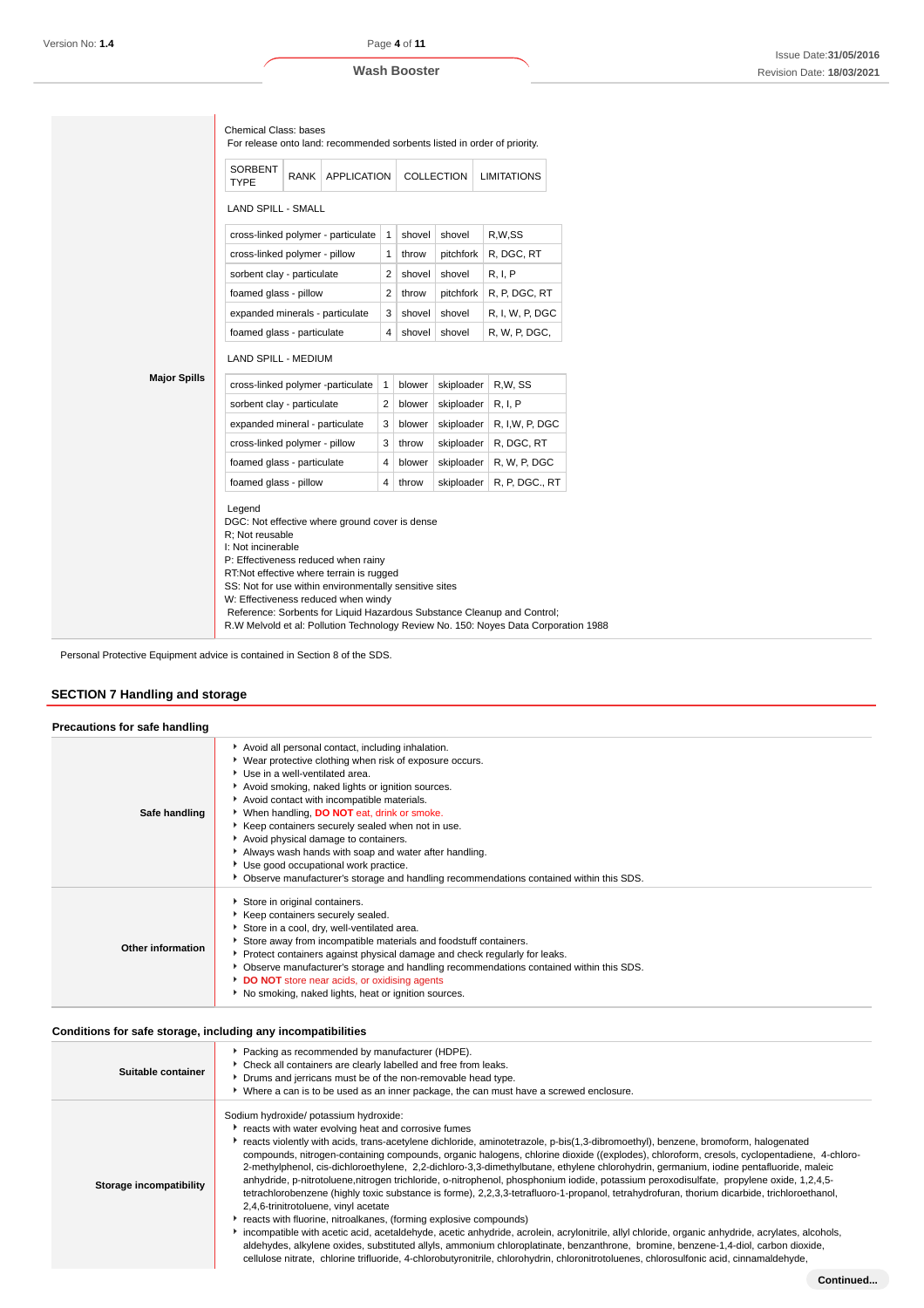|                     | <b>SORBENT</b><br><b>TYPE</b>                                                                                                                                                                                                                                                                                                                                                                                                                           | RANK | <b>APPLICATION</b>                 |                |        | COLLECTION | For release onto land: recommended sorbents listed in order of priority.<br><b>LIMITATIONS</b> |  |  |
|---------------------|---------------------------------------------------------------------------------------------------------------------------------------------------------------------------------------------------------------------------------------------------------------------------------------------------------------------------------------------------------------------------------------------------------------------------------------------------------|------|------------------------------------|----------------|--------|------------|------------------------------------------------------------------------------------------------|--|--|
|                     | <b>LAND SPILL - SMALL</b>                                                                                                                                                                                                                                                                                                                                                                                                                               |      |                                    |                |        |            |                                                                                                |  |  |
|                     |                                                                                                                                                                                                                                                                                                                                                                                                                                                         |      | cross-linked polymer - particulate | 1              | shovel | shovel     | R,W,SS                                                                                         |  |  |
|                     | cross-linked polymer - pillow                                                                                                                                                                                                                                                                                                                                                                                                                           |      |                                    | $\mathbf{1}$   | throw  | pitchfork  | R, DGC, RT                                                                                     |  |  |
|                     | sorbent clay - particulate                                                                                                                                                                                                                                                                                                                                                                                                                              |      |                                    | 2              | shovel | shovel     | R, I, P                                                                                        |  |  |
|                     | foamed glass - pillow                                                                                                                                                                                                                                                                                                                                                                                                                                   |      |                                    | 2              | throw  | pitchfork  | R, P, DGC, RT                                                                                  |  |  |
|                     | expanded minerals - particulate                                                                                                                                                                                                                                                                                                                                                                                                                         |      |                                    | 3              | shovel | shovel     | R, I, W, P, DGC                                                                                |  |  |
|                     | foamed glass - particulate                                                                                                                                                                                                                                                                                                                                                                                                                              |      |                                    | 4              | shovel | shovel     | R, W, P, DGC,                                                                                  |  |  |
|                     | LAND SPILL - MEDIUM                                                                                                                                                                                                                                                                                                                                                                                                                                     |      |                                    |                |        |            |                                                                                                |  |  |
| <b>Major Spills</b> |                                                                                                                                                                                                                                                                                                                                                                                                                                                         |      | cross-linked polymer -particulate  | 1              | blower | skiploader | R.W. SS                                                                                        |  |  |
|                     | sorbent clay - particulate                                                                                                                                                                                                                                                                                                                                                                                                                              |      |                                    | $\overline{2}$ | blower | skiploader | R, I, P                                                                                        |  |  |
|                     | expanded mineral - particulate                                                                                                                                                                                                                                                                                                                                                                                                                          |      |                                    | 3              | blower | skiploader | R, I,W, P, DGC                                                                                 |  |  |
|                     | cross-linked polymer - pillow                                                                                                                                                                                                                                                                                                                                                                                                                           |      |                                    | 3              | throw  | skiploader | R, DGC, RT                                                                                     |  |  |
|                     | foamed glass - particulate                                                                                                                                                                                                                                                                                                                                                                                                                              |      |                                    | 4              | blower | skiploader | R, W, P, DGC                                                                                   |  |  |
|                     | foamed glass - pillow                                                                                                                                                                                                                                                                                                                                                                                                                                   |      |                                    | 4              | throw  | skiploader | R, P, DGC., RT                                                                                 |  |  |
|                     | Legend<br>DGC: Not effective where ground cover is dense<br>R: Not reusable<br>I: Not incinerable<br>P: Effectiveness reduced when rainy<br>RT:Not effective where terrain is rugged<br>SS: Not for use within environmentally sensitive sites<br>W: Effectiveness reduced when windy<br>Reference: Sorbents for Liquid Hazardous Substance Cleanup and Control;<br>R.W Melvold et al: Pollution Technology Review No. 150: Noyes Data Corporation 1988 |      |                                    |                |        |            |                                                                                                |  |  |

Personal Protective Equipment advice is contained in Section 8 of the SDS.

## **SECTION 7 Handling and storage**

| Precautions for safe handling |                                                                                                                                                                                                                                                                                                                                                                                                                                                                                                                                                                                                 |
|-------------------------------|-------------------------------------------------------------------------------------------------------------------------------------------------------------------------------------------------------------------------------------------------------------------------------------------------------------------------------------------------------------------------------------------------------------------------------------------------------------------------------------------------------------------------------------------------------------------------------------------------|
| Safe handling                 | Avoid all personal contact, including inhalation.<br>▶ Wear protective clothing when risk of exposure occurs.<br>Use in a well-ventilated area.<br>Avoid smoking, naked lights or ignition sources.<br>Avoid contact with incompatible materials.<br>▶ When handling, <b>DO NOT</b> eat, drink or smoke.<br>Keep containers securely sealed when not in use.<br>Avoid physical damage to containers.<br>Always wash hands with soap and water after handling.<br>Use good occupational work practice.<br>Observe manufacturer's storage and handling recommendations contained within this SDS. |
| Other information             | Store in original containers.<br>Keep containers securely sealed.<br>Store in a cool, dry, well-ventilated area.<br>Store away from incompatible materials and foodstuff containers.<br>▶ Protect containers against physical damage and check regularly for leaks.<br>▶ Observe manufacturer's storage and handling recommendations contained within this SDS.<br>DO NOT store near acids, or oxidising agents<br>No smoking, naked lights, heat or ignition sources.                                                                                                                          |

## **Conditions for safe storage, including any incompatibilities**

| Suitable container      | Packing as recommended by manufacturer (HDPE).<br>Check all containers are clearly labelled and free from leaks.<br>Drums and jerricans must be of the non-removable head type.<br>▶ Where a can is to be used as an inner package, the can must have a screwed enclosure.                                                                                                                                                                                                                                                                                                                                                                                                                                                                                                                                                                                                                                                                                                                                                                                                                                                                                                                                                                                                                                                                                           |
|-------------------------|----------------------------------------------------------------------------------------------------------------------------------------------------------------------------------------------------------------------------------------------------------------------------------------------------------------------------------------------------------------------------------------------------------------------------------------------------------------------------------------------------------------------------------------------------------------------------------------------------------------------------------------------------------------------------------------------------------------------------------------------------------------------------------------------------------------------------------------------------------------------------------------------------------------------------------------------------------------------------------------------------------------------------------------------------------------------------------------------------------------------------------------------------------------------------------------------------------------------------------------------------------------------------------------------------------------------------------------------------------------------|
| Storage incompatibility | Sodium hydroxide/ potassium hydroxide:<br>reacts with water evolving heat and corrosive fumes<br>reacts violently with acids, trans-acetylene dichloride, aminotetrazole, p-bis(1,3-dibromoethyl), benzene, bromoform, halogenated<br>compounds, nitrogen-containing compounds, organic halogens, chlorine dioxide ((explodes), chloroform, cresols, cyclopentadiene, 4-chloro-<br>2-methylphenol, cis-dichloroethylene, 2,2-dichloro-3,3-dimethylbutane, ethylene chlorohydrin, germanium, iodine pentafluoride, maleic<br>anhydride, p-nitrotoluene, nitrogen trichloride, o-nitrophenol, phosphonium iodide, potassium peroxodisulfate, propylene oxide, 1,2,4,5-<br>tetrachlorobenzene (highly toxic substance is forme), 2,2,3,3-tetrafluoro-1-propanol, tetrahydrofuran, thorium dicarbide, trichloroethanol,<br>2,4,6-trinitrotoluene, vinyl acetate<br>reacts with fluorine, nitroalkanes, (forming explosive compounds)<br>incompatible with acetic acid, acetaldehyde, acetic anhydride, acrolein, acrylonitrile, allyl chloride, organic anhydride, acrylates, alcohols,<br>aldehydes, alkylene oxides, substituted allyls, ammonium chloroplatinate, benzanthrone, bromine, benzene-1,4-diol, carbon dioxide,<br>cellulose nitrate, chlorine trifluoride, 4-chlorobutyronitrile, chlorohydrin, chloronitrotoluenes, chlorosulfonic acid, cinnamaldehyde, |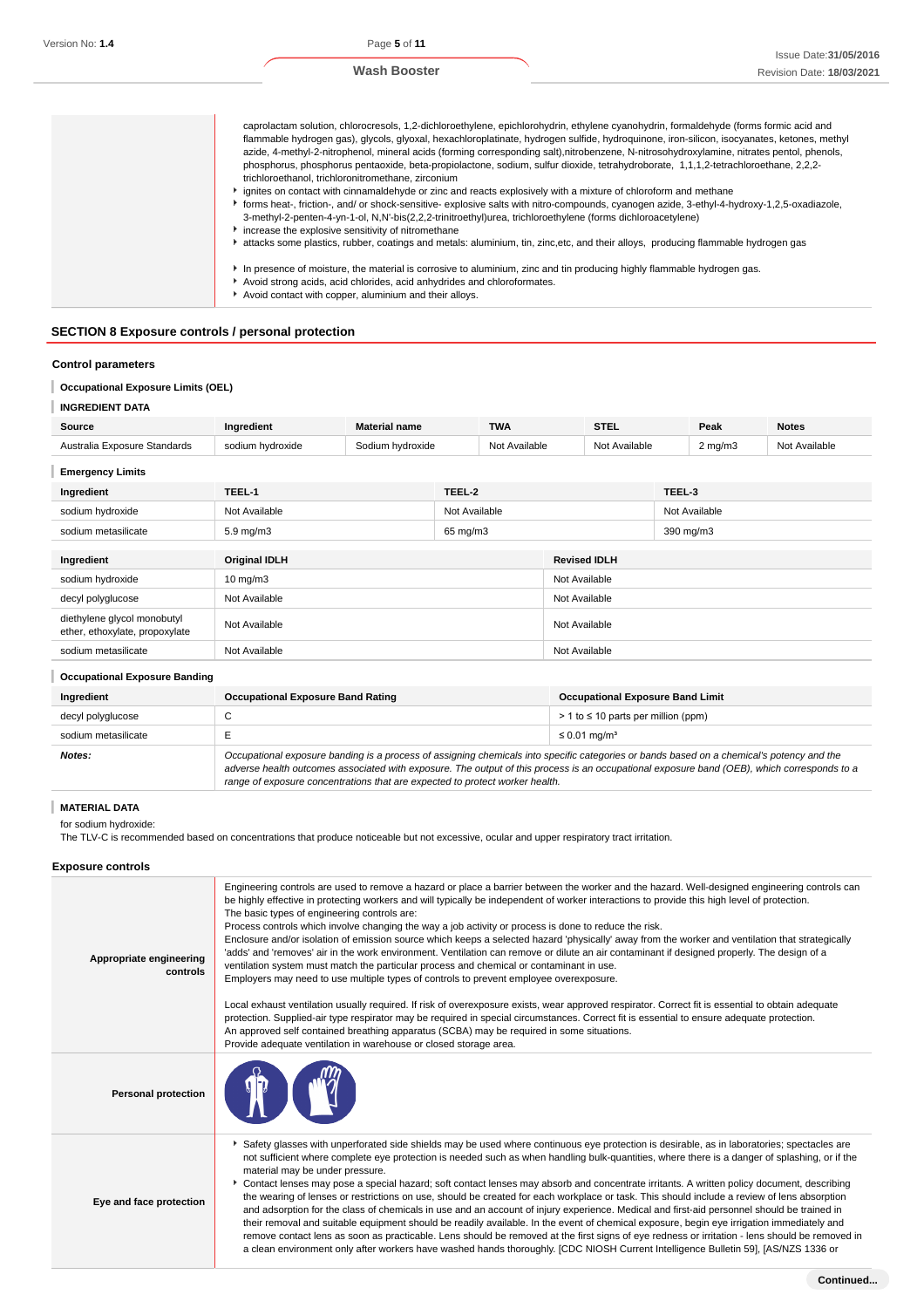| caprolactam solution, chlorocresols, 1,2-dichloroethylene, epichlorohydrin, ethylene cyanohydrin, formaldehyde (forms formic acid and<br>flammable hydrogen gas), glycols, glyoxal, hexachloroplatinate, hydrogen sulfide, hydroguinone, iron-silicon, isocyanates, ketones, methyl<br>azide, 4-methyl-2-nitrophenol, mineral acids (forming corresponding salt), nitrobenzene, N-nitrosohydroxylamine, nitrates pentol, phenols,<br>phosphorus, phosphorus pentaoxide, beta-propiolactone, sodium, sulfur dioxide, tetrahydroborate, 1,1,1,2-tetrachloroethane, 2,2,2-<br>trichloroethanol, trichloronitromethane, zirconium<br>• ignites on contact with cinnamaldehyde or zinc and reacts explosively with a mixture of chloroform and methane<br>Forms heat-, friction-, and/ or shock-sensitive- explosive salts with nitro-compounds, cyanogen azide, 3-ethyl-4-hydroxy-1,2,5-oxadiazole, |
|-------------------------------------------------------------------------------------------------------------------------------------------------------------------------------------------------------------------------------------------------------------------------------------------------------------------------------------------------------------------------------------------------------------------------------------------------------------------------------------------------------------------------------------------------------------------------------------------------------------------------------------------------------------------------------------------------------------------------------------------------------------------------------------------------------------------------------------------------------------------------------------------------|
| 3-methyl-2-penten-4-yn-1-ol, N,N'-bis(2,2,2-trinitroethyl)urea, trichloroethylene (forms dichloroacetylene)<br>increase the explosive sensitivity of nitromethane                                                                                                                                                                                                                                                                                                                                                                                                                                                                                                                                                                                                                                                                                                                               |
| attacks some plastics, rubber, coatings and metals: aluminium, tin, zinc,etc, and their alloys, producing flammable hydrogen gas                                                                                                                                                                                                                                                                                                                                                                                                                                                                                                                                                                                                                                                                                                                                                                |
| In presence of moisture, the material is corrosive to aluminium, zinc and tin producing highly flammable hydrogen gas.                                                                                                                                                                                                                                                                                                                                                                                                                                                                                                                                                                                                                                                                                                                                                                          |
| Avoid strong acids, acid chlorides, acid anhydrides and chloroformates.                                                                                                                                                                                                                                                                                                                                                                                                                                                                                                                                                                                                                                                                                                                                                                                                                         |
| Avoid contact with copper, aluminium and their alloys.                                                                                                                                                                                                                                                                                                                                                                                                                                                                                                                                                                                                                                                                                                                                                                                                                                          |
|                                                                                                                                                                                                                                                                                                                                                                                                                                                                                                                                                                                                                                                                                                                                                                                                                                                                                                 |

## **SECTION 8 Exposure controls / personal protection**

## **Control parameters**

## **Occupational Exposure Limits (OEL)**

| <b>INGREDIENT DATA</b>                                        |                                    |                  |                                |               |               |                     |                  |               |              |
|---------------------------------------------------------------|------------------------------------|------------------|--------------------------------|---------------|---------------|---------------------|------------------|---------------|--------------|
| Source                                                        | Ingredient<br><b>Material name</b> |                  |                                | <b>TWA</b>    |               | <b>STEL</b>         |                  | Peak          | <b>Notes</b> |
| Australia Exposure Standards                                  | sodium hydroxide                   | Sodium hydroxide | Not Available<br>Not Available |               |               |                     | $2 \text{ mg/m}$ | Not Available |              |
| <b>Emergency Limits</b>                                       |                                    |                  |                                |               |               |                     |                  |               |              |
| Ingredient                                                    | TEEL-1                             | TEEL-2           |                                |               |               | TEEL-3              |                  |               |              |
| sodium hydroxide                                              | Not Available                      | Not Available    |                                |               | Not Available |                     |                  |               |              |
| sodium metasilicate                                           | 5.9 mg/m3                          | 65 mg/m3         |                                |               | 390 mg/m3     |                     |                  |               |              |
|                                                               |                                    |                  |                                |               |               |                     |                  |               |              |
| Ingredient                                                    | <b>Original IDLH</b>               |                  |                                |               |               | <b>Revised IDLH</b> |                  |               |              |
| sodium hydroxide                                              | $10$ mg/m $3$                      |                  |                                |               | Not Available |                     |                  |               |              |
| decyl polyglucose                                             | Not Available                      |                  | Not Available                  |               |               |                     |                  |               |              |
| diethylene glycol monobutyl<br>ether, ethoxylate, propoxylate | Not Available                      |                  |                                | Not Available |               |                     |                  |               |              |
| sodium metasilicate                                           | Not Available                      |                  |                                | Not Available |               |                     |                  |               |              |

| <b>Occupational Exposure Banding</b> |                                                                                                                                                                                                                                                                                                                                                                          |                                            |
|--------------------------------------|--------------------------------------------------------------------------------------------------------------------------------------------------------------------------------------------------------------------------------------------------------------------------------------------------------------------------------------------------------------------------|--------------------------------------------|
| Ingredient                           | <b>Occupational Exposure Band Rating</b>                                                                                                                                                                                                                                                                                                                                 | <b>Occupational Exposure Band Limit</b>    |
| decyl polyglucose                    | ◡                                                                                                                                                                                                                                                                                                                                                                        | $> 1$ to $\leq 10$ parts per million (ppm) |
| sodium metasilicate                  |                                                                                                                                                                                                                                                                                                                                                                          | $\leq 0.01$ mg/m <sup>3</sup>              |
| Notes:                               | Occupational exposure banding is a process of assigning chemicals into specific categories or bands based on a chemical's potency and the<br>adverse health outcomes associated with exposure. The output of this process is an occupational exposure band (OEB), which corresponds to a<br>range of exposure concentrations that are expected to protect worker health. |                                            |

## **MATERIAL DATA**

for sodium hydroxide:

The TLV-C is recommended based on concentrations that produce noticeable but not excessive, ocular and upper respiratory tract irritation.

## **Exposure controls**

| Appropriate engineering<br>controls | Engineering controls are used to remove a hazard or place a barrier between the worker and the hazard. Well-designed engineering controls can<br>be highly effective in protecting workers and will typically be independent of worker interactions to provide this high level of protection.<br>The basic types of engineering controls are:<br>Process controls which involve changing the way a job activity or process is done to reduce the risk.<br>Enclosure and/or isolation of emission source which keeps a selected hazard 'physically' away from the worker and ventilation that strategically<br>'adds' and 'removes' air in the work environment. Ventilation can remove or dilute an air contaminant if designed properly. The design of a<br>ventilation system must match the particular process and chemical or contaminant in use.<br>Employers may need to use multiple types of controls to prevent employee overexposure.<br>Local exhaust ventilation usually required. If risk of overexposure exists, wear approved respirator. Correct fit is essential to obtain adequate<br>protection. Supplied-air type respirator may be required in special circumstances. Correct fit is essential to ensure adequate protection.<br>An approved self contained breathing apparatus (SCBA) may be required in some situations.<br>Provide adequate ventilation in warehouse or closed storage area. |
|-------------------------------------|----------------------------------------------------------------------------------------------------------------------------------------------------------------------------------------------------------------------------------------------------------------------------------------------------------------------------------------------------------------------------------------------------------------------------------------------------------------------------------------------------------------------------------------------------------------------------------------------------------------------------------------------------------------------------------------------------------------------------------------------------------------------------------------------------------------------------------------------------------------------------------------------------------------------------------------------------------------------------------------------------------------------------------------------------------------------------------------------------------------------------------------------------------------------------------------------------------------------------------------------------------------------------------------------------------------------------------------------------------------------------------------------------------------------|
| <b>Personal protection</b>          |                                                                                                                                                                                                                                                                                                                                                                                                                                                                                                                                                                                                                                                                                                                                                                                                                                                                                                                                                                                                                                                                                                                                                                                                                                                                                                                                                                                                                      |
| Eye and face protection             | ▶ Safety glasses with unperforated side shields may be used where continuous eye protection is desirable, as in laboratories; spectacles are<br>not sufficient where complete eye protection is needed such as when handling bulk-quantities, where there is a danger of splashing, or if the<br>material may be under pressure.<br>Contact lenses may pose a special hazard; soft contact lenses may absorb and concentrate irritants. A written policy document, describing<br>the wearing of lenses or restrictions on use, should be created for each workplace or task. This should include a review of lens absorption<br>and adsorption for the class of chemicals in use and an account of injury experience. Medical and first-aid personnel should be trained in<br>their removal and suitable equipment should be readily available. In the event of chemical exposure, begin eye irrigation immediately and<br>remove contact lens as soon as practicable. Lens should be removed at the first signs of eye redness or irritation - lens should be removed in<br>a clean environment only after workers have washed hands thoroughly. [CDC NIOSH Current Intelligence Bulletin 59], [AS/NZS 1336 or                                                                                                                                                                                                      |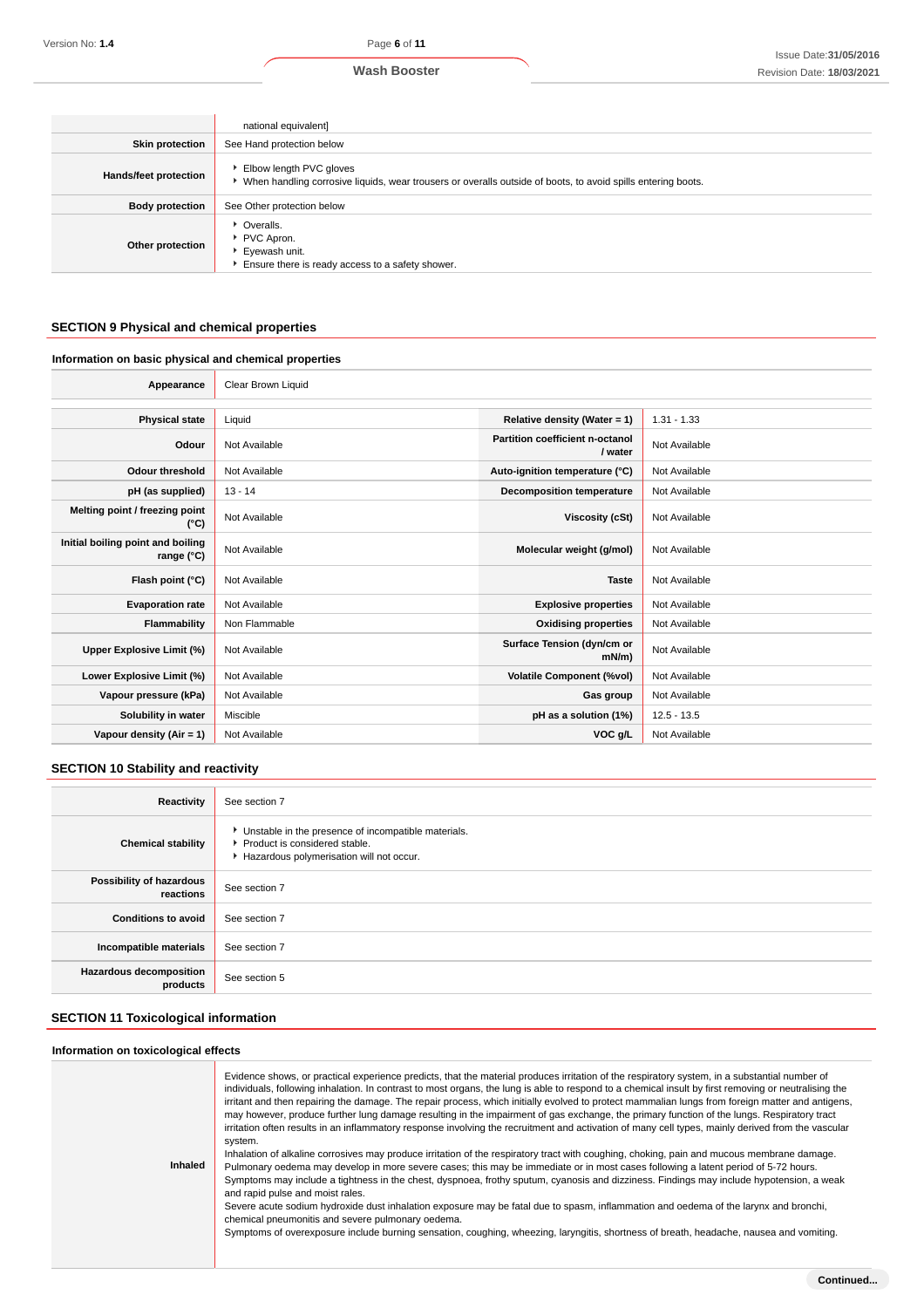|                        | national equivalent]                                                                                                                      |
|------------------------|-------------------------------------------------------------------------------------------------------------------------------------------|
| <b>Skin protection</b> | See Hand protection below                                                                                                                 |
| Hands/feet protection  | Elbow length PVC gloves<br>▶ When handling corrosive liquids, wear trousers or overalls outside of boots, to avoid spills entering boots. |
| <b>Body protection</b> | See Other protection below                                                                                                                |
| Other protection       | • Overalls.<br>PVC Apron.<br>Eyewash unit.<br>Ensure there is ready access to a safety shower.                                            |

## **SECTION 9 Physical and chemical properties**

## **Information on basic physical and chemical properties**

| Appearance                                      | Clear Brown Liquid |                                            |               |
|-------------------------------------------------|--------------------|--------------------------------------------|---------------|
|                                                 |                    |                                            |               |
| <b>Physical state</b>                           | Liquid             | Relative density (Water = $1$ )            | $1.31 - 1.33$ |
| Odour                                           | Not Available      | Partition coefficient n-octanol<br>/ water | Not Available |
| <b>Odour threshold</b>                          | Not Available      | Auto-ignition temperature (°C)             | Not Available |
| pH (as supplied)                                | $13 - 14$          | <b>Decomposition temperature</b>           | Not Available |
| Melting point / freezing point<br>(°C)          | Not Available      | Viscosity (cSt)                            | Not Available |
| Initial boiling point and boiling<br>range (°C) | Not Available      | Molecular weight (g/mol)                   | Not Available |
| Flash point (°C)                                | Not Available      | <b>Taste</b>                               | Not Available |
| <b>Evaporation rate</b>                         | Not Available      | <b>Explosive properties</b>                | Not Available |
| Flammability                                    | Non Flammable      | <b>Oxidising properties</b>                | Not Available |
| Upper Explosive Limit (%)                       | Not Available      | Surface Tension (dyn/cm or<br>mN/m         | Not Available |
| Lower Explosive Limit (%)                       | Not Available      | <b>Volatile Component (%vol)</b>           | Not Available |
| Vapour pressure (kPa)                           | Not Available      | Gas group                                  | Not Available |
| Solubility in water                             | Miscible           | pH as a solution (1%)                      | $12.5 - 13.5$ |
| Vapour density (Air = 1)                        | Not Available      | VOC g/L                                    | Not Available |

## **SECTION 10 Stability and reactivity**

| Reactivity                                 | See section 7                                                                                                                      |
|--------------------------------------------|------------------------------------------------------------------------------------------------------------------------------------|
| <b>Chemical stability</b>                  | • Unstable in the presence of incompatible materials.<br>Product is considered stable.<br>Hazardous polymerisation will not occur. |
| Possibility of hazardous<br>reactions      | See section 7                                                                                                                      |
| <b>Conditions to avoid</b>                 | See section 7                                                                                                                      |
| Incompatible materials                     | See section 7                                                                                                                      |
| <b>Hazardous decomposition</b><br>products | See section 5                                                                                                                      |

## **SECTION 11 Toxicological information**

#### **Information on toxicological effects**

| Inhaled | Evidence shows, or practical experience predicts, that the material produces irritation of the respiratory system, in a substantial number of<br>individuals, following inhalation. In contrast to most organs, the lung is able to respond to a chemical insult by first removing or neutralising the<br>irritant and then repairing the damage. The repair process, which initially evolved to protect mammalian lungs from foreign matter and antigens,<br>may however, produce further lung damage resulting in the impairment of gas exchange, the primary function of the lungs. Respiratory tract<br>irritation often results in an inflammatory response involving the recruitment and activation of many cell types, mainly derived from the vascular<br>system.<br>Inhalation of alkaline corrosives may produce irritation of the respiratory tract with coughing, choking, pain and mucous membrane damage.<br>Pulmonary oedema may develop in more severe cases; this may be immediate or in most cases following a latent period of 5-72 hours.<br>Symptoms may include a tightness in the chest, dyspnoea, frothy sputum, cyanosis and dizziness. Findings may include hypotension, a weak<br>and rapid pulse and moist rales.<br>Severe acute sodium hydroxide dust inhalation exposure may be fatal due to spasm, inflammation and oedema of the larynx and bronchi,<br>chemical pneumonitis and severe pulmonary oedema.<br>Symptoms of overexposure include burning sensation, coughing, wheezing, laryngitis, shortness of breath, headache, nausea and vomiting. |
|---------|---------------------------------------------------------------------------------------------------------------------------------------------------------------------------------------------------------------------------------------------------------------------------------------------------------------------------------------------------------------------------------------------------------------------------------------------------------------------------------------------------------------------------------------------------------------------------------------------------------------------------------------------------------------------------------------------------------------------------------------------------------------------------------------------------------------------------------------------------------------------------------------------------------------------------------------------------------------------------------------------------------------------------------------------------------------------------------------------------------------------------------------------------------------------------------------------------------------------------------------------------------------------------------------------------------------------------------------------------------------------------------------------------------------------------------------------------------------------------------------------------------------------------------------------------------------------------------------|
|         |                                                                                                                                                                                                                                                                                                                                                                                                                                                                                                                                                                                                                                                                                                                                                                                                                                                                                                                                                                                                                                                                                                                                                                                                                                                                                                                                                                                                                                                                                                                                                                                       |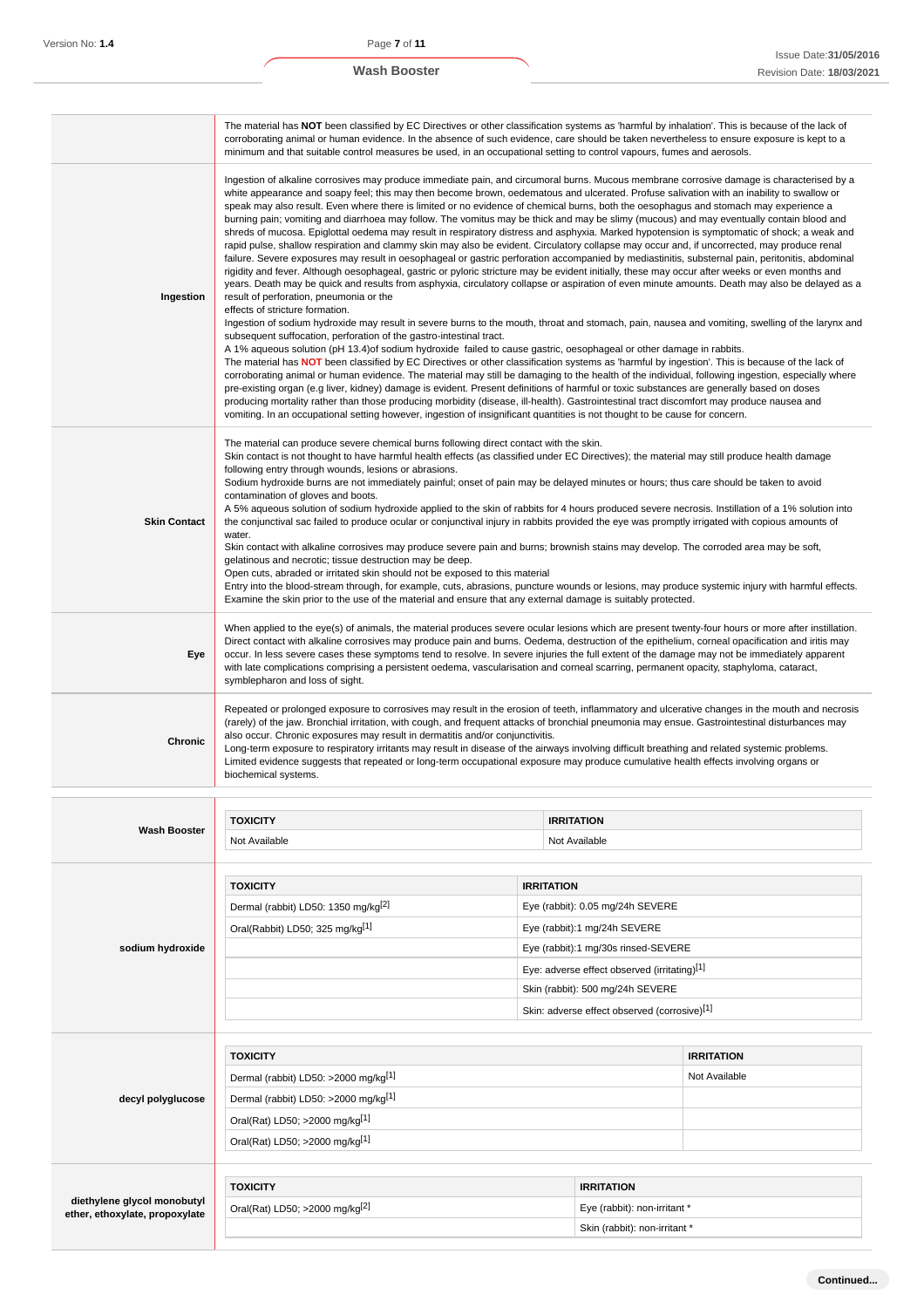|                                | The material has NOT been classified by EC Directives or other classification systems as 'harmful by inhalation'. This is because of the lack of<br>corroborating animal or human evidence. In the absence of such evidence, care should be taken nevertheless to ensure exposure is kept to a<br>minimum and that suitable control measures be used, in an occupational setting to control vapours, fumes and aerosols.                                                                                                                                                                                                                                                                                                                                                                                                                                                                                                                                                                                                                                                                                                                                                                                                                                                                                                                                                                                                                                                                                                                                                                                                                                                                                                                                                                                                                                                                                                                                                                                                                                                                                                                                                                                                                                                                                                                                                                                                                                                                             |                   |                                                                                     |                   |
|--------------------------------|------------------------------------------------------------------------------------------------------------------------------------------------------------------------------------------------------------------------------------------------------------------------------------------------------------------------------------------------------------------------------------------------------------------------------------------------------------------------------------------------------------------------------------------------------------------------------------------------------------------------------------------------------------------------------------------------------------------------------------------------------------------------------------------------------------------------------------------------------------------------------------------------------------------------------------------------------------------------------------------------------------------------------------------------------------------------------------------------------------------------------------------------------------------------------------------------------------------------------------------------------------------------------------------------------------------------------------------------------------------------------------------------------------------------------------------------------------------------------------------------------------------------------------------------------------------------------------------------------------------------------------------------------------------------------------------------------------------------------------------------------------------------------------------------------------------------------------------------------------------------------------------------------------------------------------------------------------------------------------------------------------------------------------------------------------------------------------------------------------------------------------------------------------------------------------------------------------------------------------------------------------------------------------------------------------------------------------------------------------------------------------------------------------------------------------------------------------------------------------------------------|-------------------|-------------------------------------------------------------------------------------|-------------------|
| Ingestion                      | Ingestion of alkaline corrosives may produce immediate pain, and circumoral burns. Mucous membrane corrosive damage is characterised by a<br>white appearance and soapy feel; this may then become brown, oedematous and ulcerated. Profuse salivation with an inability to swallow or<br>speak may also result. Even where there is limited or no evidence of chemical burns, both the oesophagus and stomach may experience a<br>burning pain; vomiting and diarrhoea may follow. The vomitus may be thick and may be slimy (mucous) and may eventually contain blood and<br>shreds of mucosa. Epiglottal oedema may result in respiratory distress and asphyxia. Marked hypotension is symptomatic of shock; a weak and<br>rapid pulse, shallow respiration and clammy skin may also be evident. Circulatory collapse may occur and, if uncorrected, may produce renal<br>failure. Severe exposures may result in oesophageal or gastric perforation accompanied by mediastinitis, substernal pain, peritonitis, abdominal<br>rigidity and fever. Although oesophageal, gastric or pyloric stricture may be evident initially, these may occur after weeks or even months and<br>years. Death may be quick and results from asphyxia, circulatory collapse or aspiration of even minute amounts. Death may also be delayed as a<br>result of perforation, pneumonia or the<br>effects of stricture formation.<br>Ingestion of sodium hydroxide may result in severe burns to the mouth, throat and stomach, pain, nausea and vomiting, swelling of the larynx and<br>subsequent suffocation, perforation of the gastro-intestinal tract.<br>A 1% aqueous solution (pH 13.4) of sodium hydroxide failed to cause gastric, oesophageal or other damage in rabbits.<br>The material has NOT been classified by EC Directives or other classification systems as 'harmful by ingestion'. This is because of the lack of<br>corroborating animal or human evidence. The material may still be damaging to the health of the individual, following ingestion, especially where<br>pre-existing organ (e.g liver, kidney) damage is evident. Present definitions of harmful or toxic substances are generally based on doses<br>producing mortality rather than those producing morbidity (disease, ill-health). Gastrointestinal tract discomfort may produce nausea and<br>vomiting. In an occupational setting however, ingestion of insignificant quantities is not thought to be cause for concern. |                   |                                                                                     |                   |
| <b>Skin Contact</b>            | The material can produce severe chemical burns following direct contact with the skin.<br>Skin contact is not thought to have harmful health effects (as classified under EC Directives); the material may still produce health damage<br>following entry through wounds, lesions or abrasions.<br>Sodium hydroxide burns are not immediately painful; onset of pain may be delayed minutes or hours; thus care should be taken to avoid<br>contamination of gloves and boots.<br>A 5% aqueous solution of sodium hydroxide applied to the skin of rabbits for 4 hours produced severe necrosis. Instillation of a 1% solution into<br>the conjunctival sac failed to produce ocular or conjunctival injury in rabbits provided the eye was promptly irrigated with copious amounts of<br>water.<br>Skin contact with alkaline corrosives may produce severe pain and burns; brownish stains may develop. The corroded area may be soft,<br>gelatinous and necrotic; tissue destruction may be deep.<br>Open cuts, abraded or irritated skin should not be exposed to this material<br>Entry into the blood-stream through, for example, cuts, abrasions, puncture wounds or lesions, may produce systemic injury with harmful effects.<br>Examine the skin prior to the use of the material and ensure that any external damage is suitably protected.                                                                                                                                                                                                                                                                                                                                                                                                                                                                                                                                                                                                                                                                                                                                                                                                                                                                                                                                                                                                                                                                                                                                              |                   |                                                                                     |                   |
| Eye                            | When applied to the eye(s) of animals, the material produces severe ocular lesions which are present twenty-four hours or more after instillation.<br>Direct contact with alkaline corrosives may produce pain and burns. Oedema, destruction of the epithelium, corneal opacification and iritis may<br>occur. In less severe cases these symptoms tend to resolve. In severe injuries the full extent of the damage may not be immediately apparent<br>with late complications comprising a persistent oedema, vascularisation and corneal scarring, permanent opacity, staphyloma, cataract,<br>symblepharon and loss of sight.                                                                                                                                                                                                                                                                                                                                                                                                                                                                                                                                                                                                                                                                                                                                                                                                                                                                                                                                                                                                                                                                                                                                                                                                                                                                                                                                                                                                                                                                                                                                                                                                                                                                                                                                                                                                                                                                   |                   |                                                                                     |                   |
| <b>Chronic</b>                 | Repeated or prolonged exposure to corrosives may result in the erosion of teeth, inflammatory and ulcerative changes in the mouth and necrosis<br>(rarely) of the jaw. Bronchial irritation, with cough, and frequent attacks of bronchial pneumonia may ensue. Gastrointestinal disturbances may<br>also occur. Chronic exposures may result in dermatitis and/or conjunctivitis.<br>Long-term exposure to respiratory irritants may result in disease of the airways involving difficult breathing and related systemic problems.<br>Limited evidence suggests that repeated or long-term occupational exposure may produce cumulative health effects involving organs or<br>biochemical systems.                                                                                                                                                                                                                                                                                                                                                                                                                                                                                                                                                                                                                                                                                                                                                                                                                                                                                                                                                                                                                                                                                                                                                                                                                                                                                                                                                                                                                                                                                                                                                                                                                                                                                                                                                                                                  |                   |                                                                                     |                   |
|                                |                                                                                                                                                                                                                                                                                                                                                                                                                                                                                                                                                                                                                                                                                                                                                                                                                                                                                                                                                                                                                                                                                                                                                                                                                                                                                                                                                                                                                                                                                                                                                                                                                                                                                                                                                                                                                                                                                                                                                                                                                                                                                                                                                                                                                                                                                                                                                                                                                                                                                                      |                   |                                                                                     |                   |
| <b>Wash Booster</b>            | <b>TOXICITY</b><br>Not Available                                                                                                                                                                                                                                                                                                                                                                                                                                                                                                                                                                                                                                                                                                                                                                                                                                                                                                                                                                                                                                                                                                                                                                                                                                                                                                                                                                                                                                                                                                                                                                                                                                                                                                                                                                                                                                                                                                                                                                                                                                                                                                                                                                                                                                                                                                                                                                                                                                                                     |                   | <b>IRRITATION</b><br>Not Available                                                  |                   |
|                                |                                                                                                                                                                                                                                                                                                                                                                                                                                                                                                                                                                                                                                                                                                                                                                                                                                                                                                                                                                                                                                                                                                                                                                                                                                                                                                                                                                                                                                                                                                                                                                                                                                                                                                                                                                                                                                                                                                                                                                                                                                                                                                                                                                                                                                                                                                                                                                                                                                                                                                      |                   |                                                                                     |                   |
|                                | <b>TOXICITY</b>                                                                                                                                                                                                                                                                                                                                                                                                                                                                                                                                                                                                                                                                                                                                                                                                                                                                                                                                                                                                                                                                                                                                                                                                                                                                                                                                                                                                                                                                                                                                                                                                                                                                                                                                                                                                                                                                                                                                                                                                                                                                                                                                                                                                                                                                                                                                                                                                                                                                                      | <b>IRRITATION</b> |                                                                                     |                   |
|                                | Dermal (rabbit) LD50: 1350 mg/kg <sup>[2]</sup>                                                                                                                                                                                                                                                                                                                                                                                                                                                                                                                                                                                                                                                                                                                                                                                                                                                                                                                                                                                                                                                                                                                                                                                                                                                                                                                                                                                                                                                                                                                                                                                                                                                                                                                                                                                                                                                                                                                                                                                                                                                                                                                                                                                                                                                                                                                                                                                                                                                      |                   | Eye (rabbit): 0.05 mg/24h SEVERE                                                    |                   |
|                                | Oral(Rabbit) LD50; 325 mg/kg <sup>[1]</sup>                                                                                                                                                                                                                                                                                                                                                                                                                                                                                                                                                                                                                                                                                                                                                                                                                                                                                                                                                                                                                                                                                                                                                                                                                                                                                                                                                                                                                                                                                                                                                                                                                                                                                                                                                                                                                                                                                                                                                                                                                                                                                                                                                                                                                                                                                                                                                                                                                                                          |                   | Eye (rabbit):1 mg/24h SEVERE                                                        |                   |
| sodium hydroxide               |                                                                                                                                                                                                                                                                                                                                                                                                                                                                                                                                                                                                                                                                                                                                                                                                                                                                                                                                                                                                                                                                                                                                                                                                                                                                                                                                                                                                                                                                                                                                                                                                                                                                                                                                                                                                                                                                                                                                                                                                                                                                                                                                                                                                                                                                                                                                                                                                                                                                                                      |                   | Eye (rabbit):1 mg/30s rinsed-SEVERE<br>Eye: adverse effect observed (irritating)[1] |                   |
|                                |                                                                                                                                                                                                                                                                                                                                                                                                                                                                                                                                                                                                                                                                                                                                                                                                                                                                                                                                                                                                                                                                                                                                                                                                                                                                                                                                                                                                                                                                                                                                                                                                                                                                                                                                                                                                                                                                                                                                                                                                                                                                                                                                                                                                                                                                                                                                                                                                                                                                                                      |                   | Skin (rabbit): 500 mg/24h SEVERE                                                    |                   |
|                                |                                                                                                                                                                                                                                                                                                                                                                                                                                                                                                                                                                                                                                                                                                                                                                                                                                                                                                                                                                                                                                                                                                                                                                                                                                                                                                                                                                                                                                                                                                                                                                                                                                                                                                                                                                                                                                                                                                                                                                                                                                                                                                                                                                                                                                                                                                                                                                                                                                                                                                      |                   | Skin: adverse effect observed (corrosive)[1]                                        |                   |
|                                |                                                                                                                                                                                                                                                                                                                                                                                                                                                                                                                                                                                                                                                                                                                                                                                                                                                                                                                                                                                                                                                                                                                                                                                                                                                                                                                                                                                                                                                                                                                                                                                                                                                                                                                                                                                                                                                                                                                                                                                                                                                                                                                                                                                                                                                                                                                                                                                                                                                                                                      |                   |                                                                                     |                   |
|                                | <b>TOXICITY</b>                                                                                                                                                                                                                                                                                                                                                                                                                                                                                                                                                                                                                                                                                                                                                                                                                                                                                                                                                                                                                                                                                                                                                                                                                                                                                                                                                                                                                                                                                                                                                                                                                                                                                                                                                                                                                                                                                                                                                                                                                                                                                                                                                                                                                                                                                                                                                                                                                                                                                      |                   |                                                                                     | <b>IRRITATION</b> |
|                                | Dermal (rabbit) LD50: >2000 mg/kg <sup>[1]</sup>                                                                                                                                                                                                                                                                                                                                                                                                                                                                                                                                                                                                                                                                                                                                                                                                                                                                                                                                                                                                                                                                                                                                                                                                                                                                                                                                                                                                                                                                                                                                                                                                                                                                                                                                                                                                                                                                                                                                                                                                                                                                                                                                                                                                                                                                                                                                                                                                                                                     |                   |                                                                                     | Not Available     |
| decyl polyglucose              | Dermal (rabbit) LD50: >2000 mg/kg <sup>[1]</sup>                                                                                                                                                                                                                                                                                                                                                                                                                                                                                                                                                                                                                                                                                                                                                                                                                                                                                                                                                                                                                                                                                                                                                                                                                                                                                                                                                                                                                                                                                                                                                                                                                                                                                                                                                                                                                                                                                                                                                                                                                                                                                                                                                                                                                                                                                                                                                                                                                                                     |                   |                                                                                     |                   |
|                                | Oral(Rat) LD50; >2000 mg/kg <sup>[1]</sup><br>Oral(Rat) LD50; >2000 mg/kg <sup>[1]</sup>                                                                                                                                                                                                                                                                                                                                                                                                                                                                                                                                                                                                                                                                                                                                                                                                                                                                                                                                                                                                                                                                                                                                                                                                                                                                                                                                                                                                                                                                                                                                                                                                                                                                                                                                                                                                                                                                                                                                                                                                                                                                                                                                                                                                                                                                                                                                                                                                             |                   |                                                                                     |                   |
|                                |                                                                                                                                                                                                                                                                                                                                                                                                                                                                                                                                                                                                                                                                                                                                                                                                                                                                                                                                                                                                                                                                                                                                                                                                                                                                                                                                                                                                                                                                                                                                                                                                                                                                                                                                                                                                                                                                                                                                                                                                                                                                                                                                                                                                                                                                                                                                                                                                                                                                                                      |                   |                                                                                     |                   |
| diethylene glycol monobutyl    | <b>TOXICITY</b>                                                                                                                                                                                                                                                                                                                                                                                                                                                                                                                                                                                                                                                                                                                                                                                                                                                                                                                                                                                                                                                                                                                                                                                                                                                                                                                                                                                                                                                                                                                                                                                                                                                                                                                                                                                                                                                                                                                                                                                                                                                                                                                                                                                                                                                                                                                                                                                                                                                                                      |                   | <b>IRRITATION</b>                                                                   |                   |
| ether, ethoxylate, propoxylate | Oral(Rat) LD50; >2000 mg/kg <sup>[2]</sup>                                                                                                                                                                                                                                                                                                                                                                                                                                                                                                                                                                                                                                                                                                                                                                                                                                                                                                                                                                                                                                                                                                                                                                                                                                                                                                                                                                                                                                                                                                                                                                                                                                                                                                                                                                                                                                                                                                                                                                                                                                                                                                                                                                                                                                                                                                                                                                                                                                                           |                   | Eye (rabbit): non-irritant *                                                        |                   |
|                                |                                                                                                                                                                                                                                                                                                                                                                                                                                                                                                                                                                                                                                                                                                                                                                                                                                                                                                                                                                                                                                                                                                                                                                                                                                                                                                                                                                                                                                                                                                                                                                                                                                                                                                                                                                                                                                                                                                                                                                                                                                                                                                                                                                                                                                                                                                                                                                                                                                                                                                      |                   | Skin (rabbit): non-irritant *                                                       |                   |
|                                |                                                                                                                                                                                                                                                                                                                                                                                                                                                                                                                                                                                                                                                                                                                                                                                                                                                                                                                                                                                                                                                                                                                                                                                                                                                                                                                                                                                                                                                                                                                                                                                                                                                                                                                                                                                                                                                                                                                                                                                                                                                                                                                                                                                                                                                                                                                                                                                                                                                                                                      |                   |                                                                                     |                   |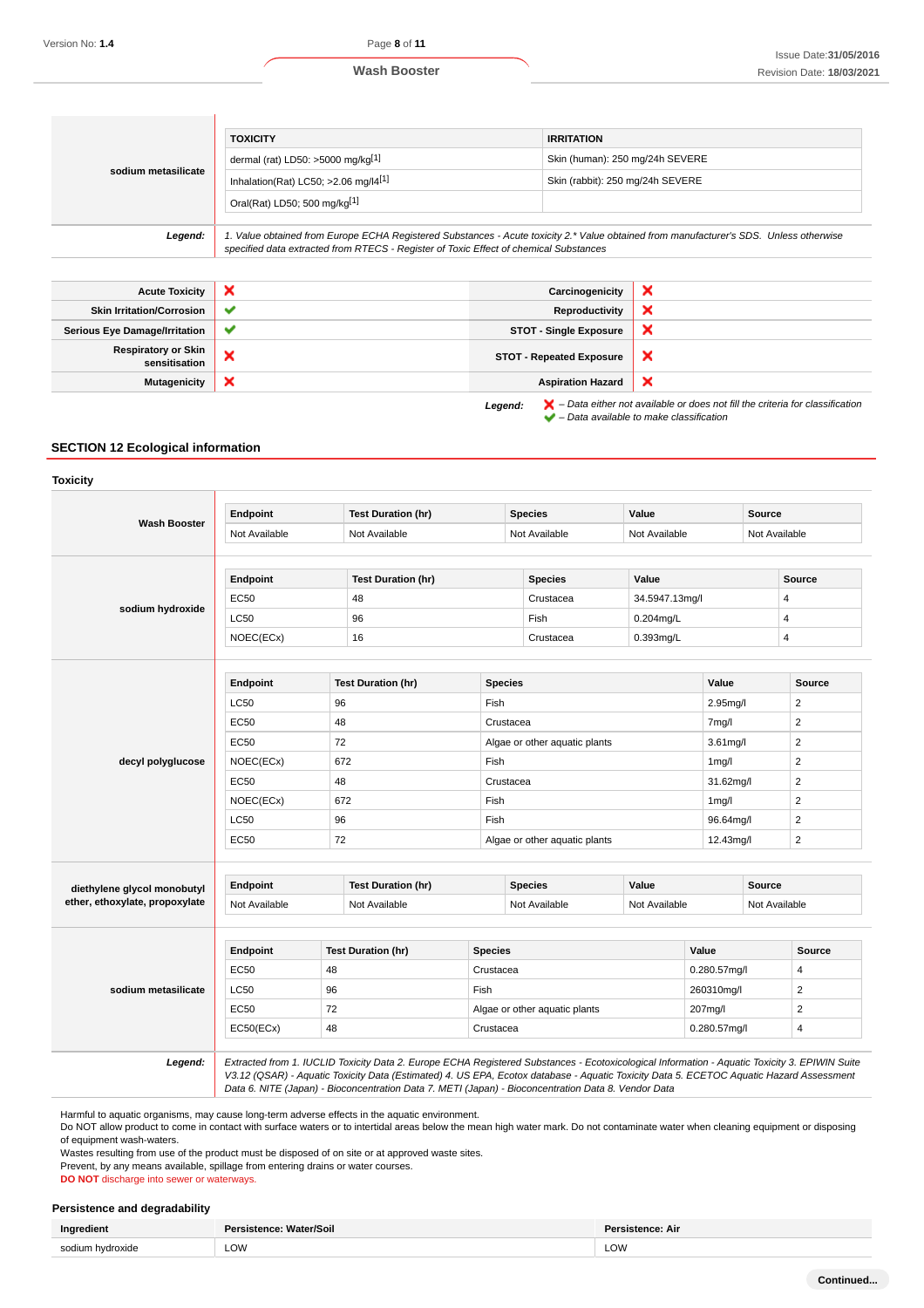| sodium metasilicate              | <b>TOXICITY</b><br>dermal (rat) LD50: $>5000$ mg/kg <sup>[1]</sup><br>Inhalation(Rat) LC50; $>2.06$ mg/ $[4[1]]$                                                                                                                | <b>IRRITATION</b><br>Skin (human): 250 mg/24h SEVERE |                                  |  |
|----------------------------------|---------------------------------------------------------------------------------------------------------------------------------------------------------------------------------------------------------------------------------|------------------------------------------------------|----------------------------------|--|
|                                  | Oral(Rat) LD50; 500 mg/kg[1]                                                                                                                                                                                                    |                                                      | Skin (rabbit): 250 mg/24h SEVERE |  |
| Legend:                          | 1. Value obtained from Europe ECHA Registered Substances - Acute toxicity 2.* Value obtained from manufacturer's SDS. Unless otherwise<br>specified data extracted from RTECS - Register of Toxic Effect of chemical Substances |                                                      |                                  |  |
|                                  |                                                                                                                                                                                                                                 |                                                      |                                  |  |
| <b>Acute Toxicity</b>            | ×                                                                                                                                                                                                                               | Carcinogenicity                                      | ×                                |  |
| <b>Skin Irritation/Corrosion</b> | v                                                                                                                                                                                                                               | Reproductivity                                       |                                  |  |

| <b>Respiratory or Skin</b><br>sensitisation |  | <b>STOT - Repeated Exposure</b>             |
|---------------------------------------------|--|---------------------------------------------|
| Mutagenicity   X                            |  | <b>Aspiration Hazard</b>                    |
|                                             |  | <b>Legend:</b> $\mathbf{X}$ - Data either r |

Serious Eye Damage/Irritation **STOT - Single Exposure** 

**Legend:**  $\blacktriangleright$  – Data either not available or does not fill the criteria for classification  $\blacktriangleright$  – Data available to make classification

 $\boldsymbol{\mathsf{x}}$ × ×

#### **SECTION 12 Ecological information**

**Toxicity Wash Booster Endpoint Test Duration (hr) Species Value Source** Not Available Not Available Not Available Not Available Not Available **sodium hydroxide Endpoint Test Duration (hr) Species Value Source** EC50 48 ABS 2012 148 Crustacea 34.5947.13mg/l 48  $\sim$   $\sim$   $\sim$  96  $\sim$  Fish 0.204mg/L 4 NOEC(ECx) 16 Crustacea 0.393mg/L 4 **decyl polyglucose Endpoint Test Duration (hr) Species Source Value Source** LC50 96 Fish 2.95mg/l 2 EC50 48 Crustacea 7mg/l 2 EC50 72 Algae or other aquatic plants 3.61mg/l 2 NOEC(ECx) | 672 | Fish | 1mg/l | 2  $E$ C50  $\vert$  48  $\vert$  Crustacea  $\vert$  31.62mg/l  $\vert$  2 NOEC(ECx) | 672 | Fish | 1mg/l | 2 LC50 96 Fish 96.64mg/l 2 EC50 72 Algae or other aquatic plants 12.43mg/l 2 **diethylene glycol monobutyl ether, ethoxylate, propoxylate Endpoint Test Duration (hr) Species Value Source** Not Available Not Available Not Available Not Available Not Available Not Available Not Available **sodium metasilicate Endpoint Test Duration (hr) Species Value Source** EC50 48 Crustacea 0.280.57mg/l 4 LC50 96 Fish 260310mg/l 2 EC50 72 Algae or other aquatic plants 207mg/l 2  $EC50(ECx)$  48 Crustacea 0.280.57mg/l 48 Crustacea 0.280.57mg/l 4 **Legend:** Extracted from 1. IUCLID Toxicity Data 2. Europe ECHA Registered Substances - Ecotoxicological Information - Aquatic Toxicity 3. EPIWIN Suite V3.12 (QSAR) - Aquatic Toxicity Data (Estimated) 4. US EPA, Ecotox database - Aquatic Toxicity Data 5. ECETOC Aquatic Hazard Assessment Data 6. NITE (Japan) - Bioconcentration Data 7. METI (Japan) - Bioconcentration Data 8. Vendor Data

Harmful to aquatic organisms, may cause long-term adverse effects in the aquatic environment.

Do NOT allow product to come in contact with surface waters or to intertidal areas below the mean high water mark. Do not contaminate water when cleaning equipment or disposing of equipment wash-waters.

Wastes resulting from use of the product must be disposed of on site or at approved waste sites.

Prevent, by any means available, spillage from entering drains or water courses

**DO NOT** discharge into sewer or waterways.

#### **Persistence and degradability**

| .<br>Ingredient                        | Persistence: Water/Soil | <b>Persistence: Air</b> |
|----------------------------------------|-------------------------|-------------------------|
| __<br><b>COMILIM</b><br>hvdroxide<br>. | LOW                     | <b>LOW</b>              |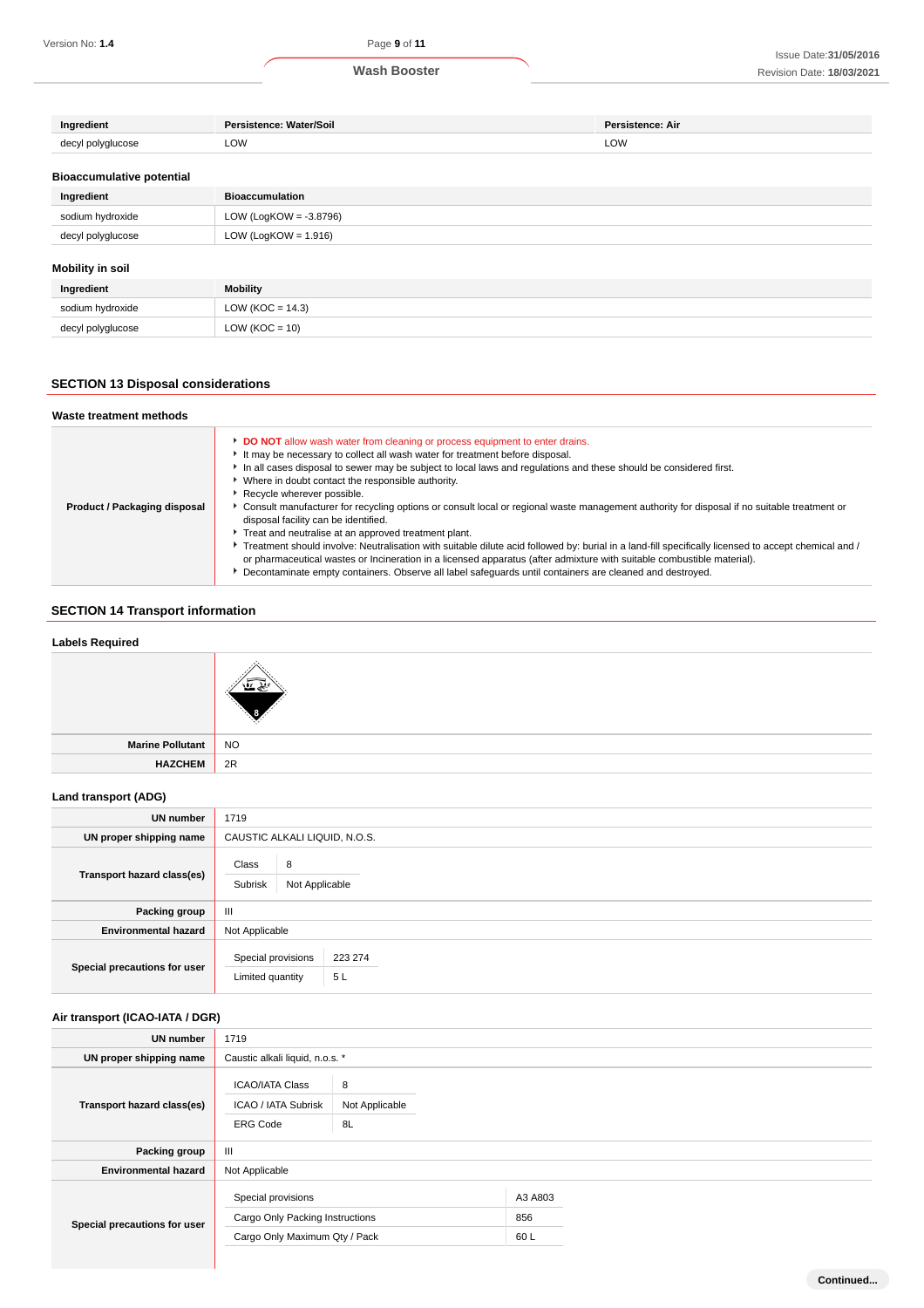| Ingredient                       | Persistence: Water/Soil   | Persistence: Air |
|----------------------------------|---------------------------|------------------|
| decyl polyglucose                | LOW                       | LOW              |
| <b>Bioaccumulative potential</b> |                           |                  |
| Ingredient                       | <b>Bioaccumulation</b>    |                  |
| sodium hydroxide                 | LOW (LogKOW = $-3.8796$ ) |                  |
| decyl polyglucose                | LOW (LogKOW = $1.916$ )   |                  |
| <b>Mobility in soil</b>          |                           |                  |
| Ingredient                       | Mobility                  |                  |
| sodium hydroxide                 | LOW ( $KOC = 14.3$ )      |                  |
| decyl polyglucose                | $LOW (KOC = 10)$          |                  |

## **SECTION 13 Disposal considerations**

| Waste treatment methods      |                                                                                                                                                                                                                                                                                                                                                                                                                                                                                                                                                                                                                                                                                                                                                                                                                                                                                                                                                                                                                      |
|------------------------------|----------------------------------------------------------------------------------------------------------------------------------------------------------------------------------------------------------------------------------------------------------------------------------------------------------------------------------------------------------------------------------------------------------------------------------------------------------------------------------------------------------------------------------------------------------------------------------------------------------------------------------------------------------------------------------------------------------------------------------------------------------------------------------------------------------------------------------------------------------------------------------------------------------------------------------------------------------------------------------------------------------------------|
| Product / Packaging disposal | DO NOT allow wash water from cleaning or process equipment to enter drains.<br>It may be necessary to collect all wash water for treatment before disposal.<br>In all cases disposal to sewer may be subject to local laws and regulations and these should be considered first.<br>Where in doubt contact the responsible authority.<br>Recycle wherever possible.<br>► Consult manufacturer for recycling options or consult local or regional waste management authority for disposal if no suitable treatment or<br>disposal facility can be identified.<br>Treat and neutralise at an approved treatment plant.<br>▶ Treatment should involve: Neutralisation with suitable dilute acid followed by: burial in a land-fill specifically licensed to accept chemical and /<br>or pharmaceutical wastes or Incineration in a licensed apparatus (after admixture with suitable combustible material).<br>Decontaminate empty containers. Observe all label safeguards until containers are cleaned and destroyed. |

## **SECTION 14 Transport information**

# **Labels Required Marine Pollutant** NO **HAZCHEM** 2R

## **Land transport (ADG)**

| UN number                    | 1719                                                    |
|------------------------------|---------------------------------------------------------|
| UN proper shipping name      | CAUSTIC ALKALI LIQUID, N.O.S.                           |
| Transport hazard class(es)   | Class<br>8<br>Subrisk<br>Not Applicable                 |
| Packing group                | $\mathbf{m}$                                            |
| <b>Environmental hazard</b>  | Not Applicable                                          |
| Special precautions for user | Special provisions<br>223 274<br>5L<br>Limited quantity |

## **Air transport (ICAO-IATA / DGR)**

| <b>UN number</b>             | 1719                                                                                   |                           |
|------------------------------|----------------------------------------------------------------------------------------|---------------------------|
| UN proper shipping name      | Caustic alkali liquid, n.o.s. *                                                        |                           |
| Transport hazard class(es)   | <b>ICAO/IATA Class</b><br>ICAO / IATA Subrisk<br><b>ERG Code</b>                       | 8<br>Not Applicable<br>8L |
| Packing group                | $\mathbf{III}$                                                                         |                           |
| <b>Environmental hazard</b>  | Not Applicable                                                                         |                           |
| Special precautions for user | Special provisions<br>Cargo Only Packing Instructions<br>Cargo Only Maximum Qty / Pack | A3 A803<br>856<br>60L     |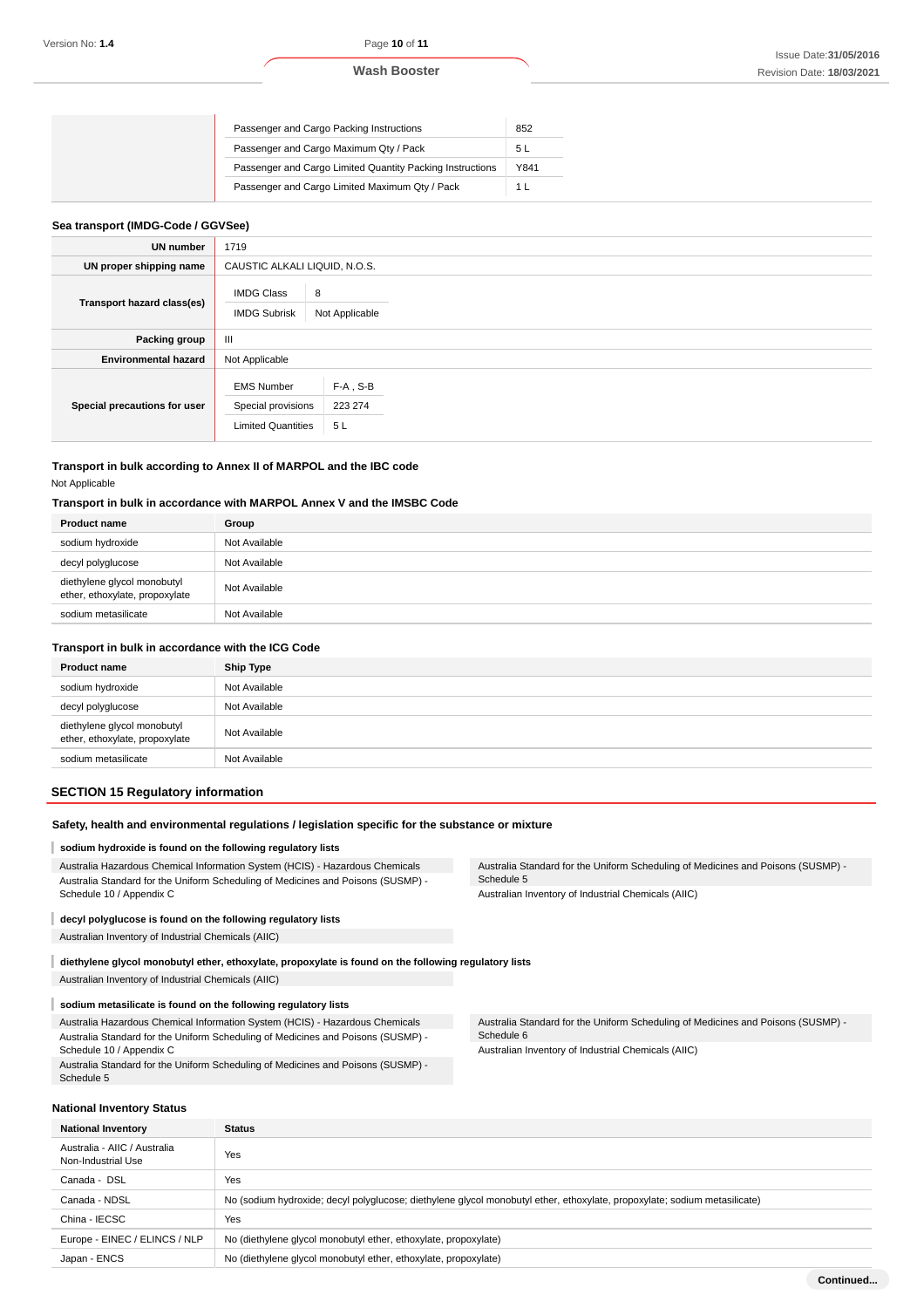| Passenger and Cargo Packing Instructions                  | 852  |
|-----------------------------------------------------------|------|
| Passenger and Cargo Maximum Qty / Pack                    | 5l   |
| Passenger and Cargo Limited Quantity Packing Instructions | Y841 |
| Passenger and Cargo Limited Maximum Qty / Pack            |      |

#### **Sea transport (IMDG-Code / GGVSee)**

| <b>UN number</b>             | 1719                                                                 |                              |  |
|------------------------------|----------------------------------------------------------------------|------------------------------|--|
| UN proper shipping name      | CAUSTIC ALKALI LIQUID, N.O.S.                                        |                              |  |
| Transport hazard class(es)   | 8<br><b>IMDG Class</b><br><b>IMDG Subrisk</b>                        | Not Applicable               |  |
| Packing group                | Ш                                                                    |                              |  |
| <b>Environmental hazard</b>  | Not Applicable                                                       |                              |  |
| Special precautions for user | <b>EMS Number</b><br>Special provisions<br><b>Limited Quantities</b> | $F-A$ , S-B<br>223 274<br>5L |  |

## **Transport in bulk according to Annex II of MARPOL and the IBC code** Not Applicable

#### **Transport in bulk in accordance with MARPOL Annex V and the IMSBC Code**

| <b>Product name</b>                                           | Group         |
|---------------------------------------------------------------|---------------|
| sodium hydroxide                                              | Not Available |
| decyl polyglucose                                             | Not Available |
| diethylene glycol monobutyl<br>ether, ethoxylate, propoxylate | Not Available |
| sodium metasilicate                                           | Not Available |

#### **Transport in bulk in accordance with the ICG Code**

| <b>Product name</b>                                           | <b>Ship Type</b> |
|---------------------------------------------------------------|------------------|
| sodium hydroxide                                              | Not Available    |
| decyl polyglucose                                             | Not Available    |
| diethylene glycol monobutyl<br>ether, ethoxylate, propoxylate | Not Available    |
| sodium metasilicate                                           | Not Available    |

#### **SECTION 15 Regulatory information**

#### **Safety, health and environmental regulations / legislation specific for the substance or mixture**

#### **sodium hydroxide is found on the following regulatory lists**

Australia Hazardous Chemical Information System (HCIS) - Hazardous Chemicals Australia Standard for the Uniform Scheduling of Medicines and Poisons (SUSMP) - Schedule 10 / Appendix C

## **decyl polyglucose is found on the following regulatory lists**

Australian Inventory of Industrial Chemicals (AIIC)

**diethylene glycol monobutyl ether, ethoxylate, propoxylate is found on the following regulatory lists** Australian Inventory of Industrial Chemicals (AIIC)

## **sodium metasilicate is found on the following regulatory lists**

Australia Hazardous Chemical Information System (HCIS) - Hazardous Chemicals Australia Standard for the Uniform Scheduling of Medicines and Poisons (SUSMP) - Schedule 10 / Appendix C

Australia Standard for the Uniform Scheduling of Medicines and Poisons (SUSMP) - Schedule 5

Australia Standard for the Uniform Scheduling of Medicines and Poisons (SUSMP) - Schedule 5 Australian Inventory of Industrial Chemicals (AIIC)

Australia Standard for the Uniform Scheduling of Medicines and Poisons (SUSMP) - Schedule 6 Australian Inventory of Industrial Chemicals (AIIC)

|  | National Inventory Status |  |
|--|---------------------------|--|
|--|---------------------------|--|

I

| <b>National Inventory</b>                          | <b>Status</b>                                                                                                             |  |
|----------------------------------------------------|---------------------------------------------------------------------------------------------------------------------------|--|
| Australia - AIIC / Australia<br>Non-Industrial Use | Yes                                                                                                                       |  |
| Canada - DSL                                       | Yes                                                                                                                       |  |
| Canada - NDSL                                      | No (sodium hydroxide; decyl polyglucose; diethylene glycol monobutyl ether, ethoxylate, propoxylate; sodium metasilicate) |  |
| China - IECSC                                      | Yes                                                                                                                       |  |
| Europe - EINEC / ELINCS / NLP                      | No (diethylene glycol monobutyl ether, ethoxylate, propoxylate)                                                           |  |
| Japan - ENCS                                       | No (diethylene glycol monobutyl ether, ethoxylate, propoxylate)                                                           |  |
|                                                    |                                                                                                                           |  |